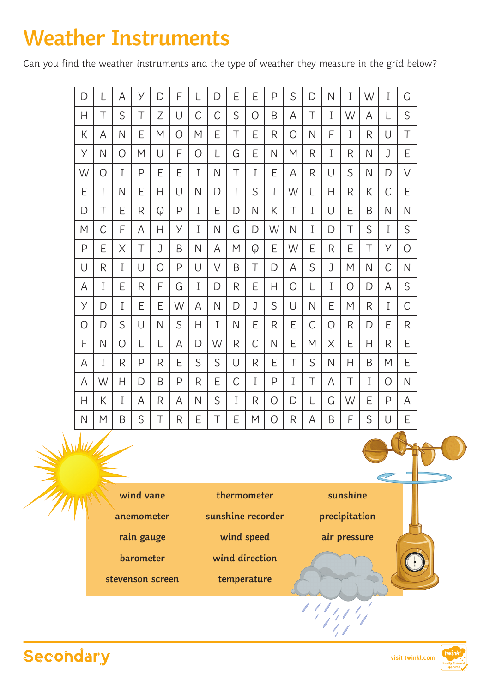## **Weather Instruments**

Can you find the weather instruments and the type of weather they measure in the grid below?

| D            | L | Α | У | D | F | L | D | E | E | P | S | D            | N            | I | W | I        | G            |
|--------------|---|---|---|---|---|---|---|---|---|---|---|--------------|--------------|---|---|----------|--------------|
| H            | T | S | T | Ζ | U | C | C | S | O | B | Α | Τ            | I            | W | Α | L        | S            |
| К            | Α | Ν | E | M | Ο | M | E | T | E | R | Ο | N            | F            | I | R | U        | T            |
| y            | N | Ο | M | U | F | Ο | L | G | E | N | M | R            | I            | R | Ν | J        | E            |
| W            | 0 | I | P | E | E | I | N | T | I | E | Α | R            | U            | S | Ν | D        | $\vee$       |
| E            | I | Ν | E | Н | U | N | D | I | S | I | W | L            | Η            | R | Κ | С        | E            |
| D            | Τ | E | R | Q | P | I | E | D | N | Κ | Τ | I            | U            | E | B | N        | $\mathsf{N}$ |
| M            | C | F | Α | Н | У | I | N | G | D | W | N | I            | D            | Τ | S | I        | S            |
| $\mathsf{P}$ | Ē | Χ | Τ | J | B | N | Α | M | Q | E | W | E            | R            | E | Τ | У        | O            |
| U            | R | I | U | 0 | P | U | V | Β | Τ | D | Α | S            | J            | Μ | Ν | С        | $\mathsf{N}$ |
| Α            | I | E | R | F | G | I | D | R | E | Η | Ο | L            | I            | Ο | D | Α        | S            |
| У            | D | I | E | E | W | Α | N | D | J | S | U | $\mathsf{N}$ | E            | M | R | I        | C            |
| O            | D | S | U | N | S | H | I | N | E | R | E | C            | O            | R | D | E        | R            |
| F            | N | O | L | L | А | D | W | R | C | N | E | M            | Χ            | E | Н | R        | E            |
| Α            | I | R | P | R | E | S | S | U | R | E | T | S            | $\mathsf{N}$ | Н | B | M        | Ε            |
| Α            | W | Н | D | B | P | R | E | C | I | P | I | T            | Α            | T | I | $\Omega$ | $\mathsf{N}$ |
| Н            | Κ | Ι | Α | R | Α | N | S | Ι | R | Ο | D | L            | G            | W | E | P        | Α            |
| $\mathsf{N}$ | M | B | S | Τ | R | E | T | E | M | Ο | R | Α            | B            | F | S | U        | E            |
|              |   |   |   |   |   |   |   |   |   |   |   |              |              |   |   |          |              |

- **wind vane**
- **anemometer**
- **rain gauge**
- **barometer**
- **stevenson screen**
- **thermometer**
- **sunshine recorder**
	- **wind speed**
- 
- **wind direction**
- **temperature**

**sunshine**

**precipitation**

**air pressure**

 $11/11/1$ 



William